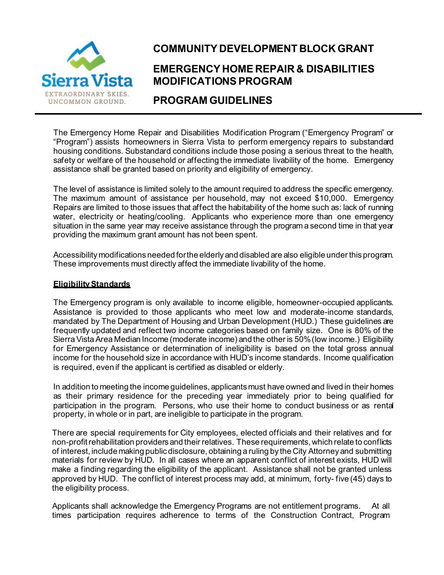

# **COMMUNITY DEVELOPMENT BLOCK GRANT**

# **EMERGENCY HOME REPAIR & DISABILITIES MODIFICATIONS PROGRAM**

### **PROGRAM GUIDELINES**

The Emergency Home Repair and Disabilities Modification Program ("Emergency Program" or "Program") assists homeowners in Sierra Vista to perform emergency repairs to substandard housing conditions. Substandard conditions include those posing a serious threat to the health, safety or welfare of the household or affecting the immediate livability of the home. Emergency assistance shall be granted based on priority and eligibility of emergency.

The level of assistance is limited solely to the amount required to address the specific emergency. The maximum amount of assistance per household, will generally not exceed \$10,000. Emergency Repairs are limited to those issues that affect the habitability of the home such as: lack of running water, electricity or heating/cooling. Applicants who experience more than one emergency situation in the same year may receive assistance through the program a second time in that year providing the maximum grant amount has not been spent.

Accessibility modifications needed for the elderly and disabled are also eligible under this program. These improvements must directly affect the immediate livability of the home.

#### **Eligibility Standards**

The Emergency program is only available to income eligible, homeowner-occupied applicants. Assistance is provided to those applicants who meet low and moderate-income standards, mandated by The Department of Housing and Urban Development (HUD.) These guidelines are frequently updated and reflect two income categories based on family size. One is 80% of the Sierra VistaArea Median Income (moderate income) andthe other is 50%(low income.) Eligibility for Emergency Assistance or determination of ineligibility is based on the total gross annual income for the household size in accordance with HUD's income standards. Income qualification is required, even if the applicant is certified as disabled or elderly.

In addition to meeting the income guidelines, applican ts must have owned and lived in their homes as their primary residence for the preceding year immediately prior to being qualified for participation in the program. Persons, who use their home to conduct business or as rental property, in whole or in part, are ineligible to participate in the program.

There are special requirements for City employees, elected officials and their relatives and for non-profit rehabilitation providersandtheir relatives. These requirements, which relate to conflicts of interest, include making public disclosure, obtaining a ruling by the City Attorney and submitting materials for review by HUD. In all cases where an apparent conflict of interest exists, HUD will make a finding regarding the eligibility of the applicant. Assistance shall not be granted unless approved by HUD. The conflict of interest process may add, at minimum, forty- five (45) days to the eligibility process.

Applicants shall acknowledge the Emergency Programs are not entitlement programs. At all times participation requires adherence to terms of the Construction Contract, Program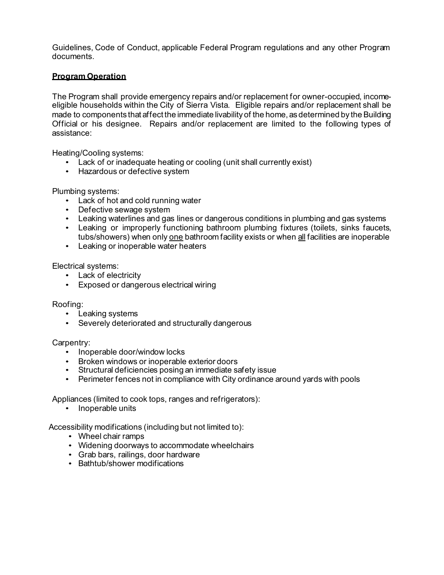Guidelines, Code of Conduct, applicable Federal Program regulations and any other Program documents.

#### **Program Operation**

The Program shall provide emergency repairs and/or replacement for owner-occupied, incomeeligible households within the City of Sierra Vista. Eligible repairs and/or replacement shall be made to components that affect the immediate livability of the home, as determined by the Building Official or his designee. Repairs and/or replacement are limited to the following types of assistance:

Heating/Cooling systems:

- Lack of or inadequate heating or cooling (unit shall currently exist)
- Hazardous or defective system

Plumbing systems:

- Lack of hot and cold running water
- Defective sewage system
- Leaking waterlines and gas lines or dangerous conditions in plumbing and gas systems
- Leaking or improperly functioning bathroom plumbing fixtures (toilets, sinks faucets, tubs/showers) when only one bathroom facility exists or when all facilities are inoperable
- Leaking or inoperable water heaters

Electrical systems:

- Lack of electricity
- Exposed or dangerous electrical wiring

Roofing:

- Leaking systems
- Severely deteriorated and structurally dangerous

Carpentry:

- Inoperable door/window locks
- Broken windows or inoperable exterior doors
- Structural deficiencies posing an immediate safety issue
- Perimeter fences not in compliance with City ordinance around yards with pools

Appliances (limited to cook tops, ranges and refrigerators):

• Inoperable units

Accessibility modifications (including but not limited to):

- Wheel chair ramps
- Widening doorways to accommodate wheelchairs
- Grab bars, railings, door hardware
- Bathtub/shower modifications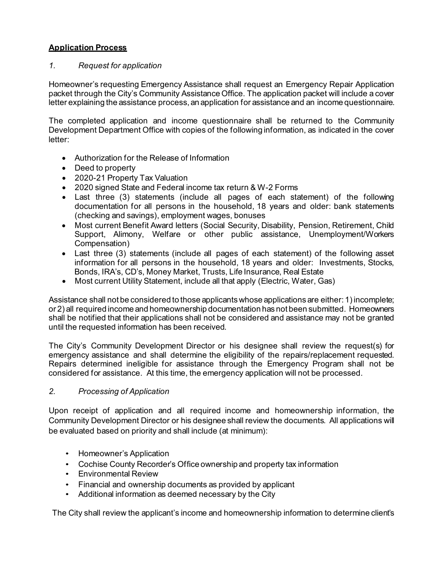### **Application Process**

#### *1. Request for application*

Homeowner's requesting Emergency Assistance shall request an Emergency Repair Application packet through the City's Community Assistance Office. The application packet will include a cover letter explaining the assistance process, an application for assistance and an income questionnaire.

The completed application and income questionnaire shall be returned to the Community Development Department Office with copies of the following information, as indicated in the cover letter:

- Authorization for the Release of Information
- Deed to property
- Current Property Tax Valuation
- 2020 (2021, once available) signed State and Federal income tax return & W-2 Forms
- Last three (3) statements (include all pages of each statement) of the following documentation for all persons in the household, 18 years and older: bank statements (checking and savings), employment wages, bonuses
- Most current Benefit Award letters (Social Security, Disability, Pension, Retirement, Child Support, Alimony, Welfare or other public assistance, Unemployment/ Workers Compensation)
- Last three (3) statements (include all pages of each statement) of the following asset information for all persons in the household, 18 years and older: Investments, Stocks, Bonds, IRA's, CD's, Money Market, Trusts, Life Insurance, Real Estate
- Most current Utility Statement, include all that apply (Electric, Water, Gas)

Assistance shall not be considered to those applicants whose applications are either: 1) incomplete; or 2) all required income and homeownership documentation has not been submitted. Homeowners shall be notified that their applications shall not be considered and assistance may not be granted until the requested information has been received.

The City's Community Development Director or his designee shall review the request(s) for emergency assistance and shall determine the eligibility of the repairs/replacement requested. Repairs determined ineligible for assistance through the Emergency Program shall not be considered for assistance. At this time, the emergency application will not be processed.

#### *2. Processing of Application*

Upon receipt of application and all required income and homeownership information, the Community Development Director or his designee shall review the documents. All applications will be evaluated based on priority and shall include (at minimum):

- Homeowner's Application
- Cochise County Recorder's Office ownership and property tax information
- Environmental Review
- Financial and ownership documents as provided by applicant
- Additional information as deemed necessary by the City

The City shall review the applicant's income and homeownership information to determine client's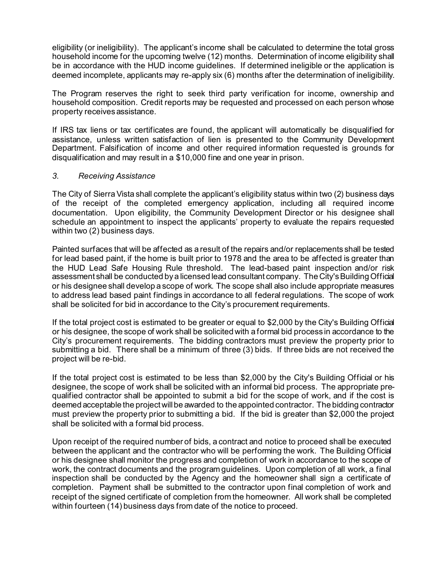eligibility (or ineligibility). The applicant's income shall be calculated to determine the total gross household income for the upcoming twelve (12) months. Determination of income eligibility shall be in accordance with the HUD income guidelines. If determined ineligible or the application is deemed incomplete, applicants may re-apply six (6) months after the determination of ineligibility.

The Program reserves the right to seek third party verification for income, ownership and household composition. Credit reports may be requested and processed on each person whose property receives assistance.

If IRS tax liens or tax certificates are found, the applicant will automatically be disqualified for assistance, unless written satisfaction of lien is presented to the Community Development Department. Falsification of income and other required information requested is grounds for disqualification and may result in a \$10,000 fine and one yearin prison.

#### *3. Receiving Assistance*

The City of Sierra Vista shall complete the applicant's eligibility status within two (2) business days of the receipt of the completed emergency application, including all required income documentation. Upon eligibility, the Community Development Director or his designee shall schedule an appointment to inspect the applicants' property to evaluate the repairs requested within two (2) business days.

Painted surfaces that will be affected as a result of the repairs and/or replacements shall be tested for lead based paint, if the home is built prior to 1978 and the area to be affected is greater than the HUD Lead Safe Housing Rule threshold. The lead-based paint inspection and/or risk assessment shall be conducted by a licensed leadconsultantcompany. The City's Building Official or his designee shall develop a scope of work. The scope shall also include appropriate measures to address lead based paint findings in accordance to all federal regulations. The scope of work shall be solicited for bid in accordance to the City's procurementrequirements.

If the total project cost is estimated to be greater or equal to \$2,000 by the City's Building Official or his designee, the scope of work shall be solicited with a formal bid process in accordance to the City's procurement requirements. The bidding contractors must preview the property prior to submitting a bid.The City shall seek at least three (3) bids during the formal bid process.

If the total project cost is estimated to be less than \$2,000 by the City's Building Official or his designee, the scope of work shall be solicited with an informal bid process. The appropriate prequalified contractor shall be appointed to submit a bid for the scope of work, and if the cost is deemed acceptable the project will be awarded to the appointed contractor. The bidding contractor must preview the property prior to submitting a bid. If the bid is greater than \$2,000 the project shall be solicited with a formal bid process.

Upon receipt of the required number of bids, a contract and notice to proceed shall be executed between the applicant and the contractor who will be performing the work. The Building Official or his designee shall monitor the progress and completion of work in accordance to the scope of work, the contract documents and the program guidelines. Upon completion of all work, a final inspection shall be conducted by the Agency and the homeowner shall sign a certificate of completion. Payment shall be submitted to the contractor upon final completion of work and receipt of the signed certificate of completion from the homeowner. Upon issuance of a Notice to Proceed, work for the listed items shall commence within fourteen (14) business days and must be completed within thirty (30) business days (from commencement), unless otherwise approved by the City.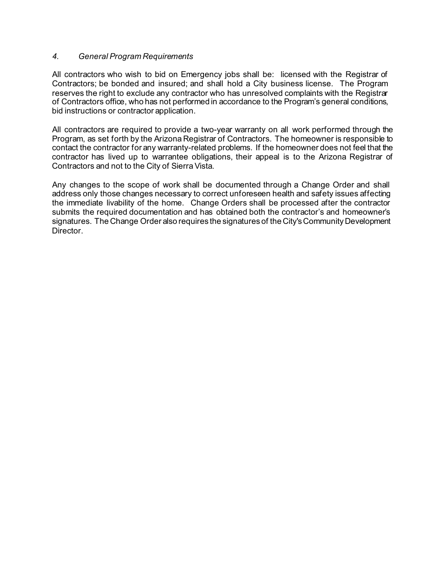#### *4. General Program Requirements*

All contractors who wish to bid on Emergency jobs shall be: licensed with the Registrar of Contractors; be bonded and insured; and shall hold a City business license. The Program reserves the right to exclude any contractor who has unresolved complaints with the Registrar of Contractors office, who has not performed in accordance to the Program's general conditions, bid instructions or contractor application.

All contractors are required to provide a two-year warranty on all work performed through the Program, as set forth by the Arizona Registrar of Contractors. The homeowner is responsible to contact the contractor for any warranty-related problems. If the homeowner does not feel that the contractor has lived up to warrantee obligations, their appeal is to the Arizona Registrar of Contractors and not to the City of Sierra Vista.

Any changes to the scope of work shall be documented through a Change Order and shall address only those changes necessary to correct unforeseen health and safety issues affecting the immediate livability of the home. Change Orders shall be processed after the contractor submits the required documentation and has obtained both the contractor's and homeowner's signatures. The Change Order also requires the signatures of the City's Community Development **Director**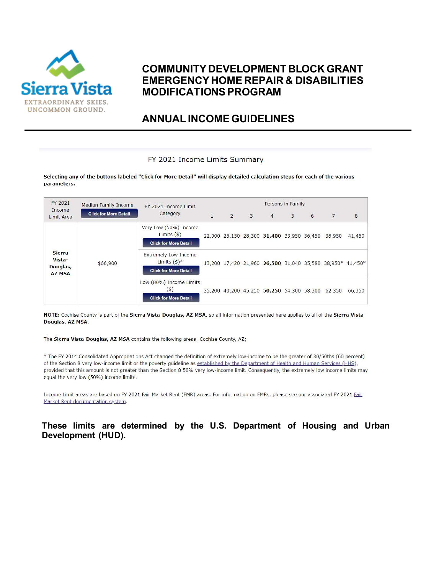

### **COMMUNITY DEVELOPMENT BLOCK GRANT EMERGENCY HOME REPAIR & DISABILITIES MODIFICATIONS PROGRAM**

**ANNUAL INCOME GUIDELINES**

**These limits are determined by the U.S. Department of Housing and Urban Development (HUD).**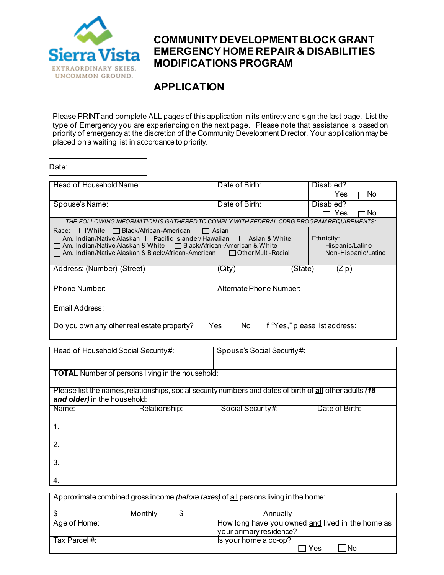

### **COMMUNITY DEVELOPMENT BLOCK GRANT EMERGENCY HOME REPAIR & DISABILITIES MODIFICATIONS PROGRAM**

# **APPLICATION**

Please PRINT and complete ALL pages of this application in its entirety and sign the last page. List the type of Emergency you are experiencing on the next page. Please note that assistance is based on priority of emergency at the discretion of the Community Development Director. Your application may be placed on a waiting list in accordance to priority.

| Date:                                                                                                                                                                                                                                                                                                                                                                         |                                |            |  |  |
|-------------------------------------------------------------------------------------------------------------------------------------------------------------------------------------------------------------------------------------------------------------------------------------------------------------------------------------------------------------------------------|--------------------------------|------------|--|--|
| Head of Household Name:                                                                                                                                                                                                                                                                                                                                                       | Date of Birth:                 | Disabled?  |  |  |
|                                                                                                                                                                                                                                                                                                                                                                               |                                | Yes<br>No. |  |  |
| Spouse's Name:                                                                                                                                                                                                                                                                                                                                                                | Date of Birth:                 | Disabled?  |  |  |
|                                                                                                                                                                                                                                                                                                                                                                               |                                | Yes<br>No. |  |  |
| THE FOLLOWING INFORMATION IS GATHERED TO COMPLY WITH FEDERAL CDBG PROGRAM REQUIREMENTS:                                                                                                                                                                                                                                                                                       |                                |            |  |  |
| $\Box$ White $\Box$ Black/African-American<br>Race:<br>$\Box$ Asian<br>Am. Indian/Native Alaskan $\Box$ Pacific Islander/ Hawaiian $\Box$ Asian & White<br>Ethnicity:<br>$\Box$ Hispanic/Latino<br>Am. Indian/Native Alaskan & White □ Black/African-American & White<br>□ Non-Hispanic/Latino<br>□ Am. Indian/Native Alaskan & Black/African-American   □ Other Multi-Racial |                                |            |  |  |
| Address: (Number) (Street)                                                                                                                                                                                                                                                                                                                                                    | $\overline{(City)}$<br>(State) | (Zip)      |  |  |
| Phone Number:                                                                                                                                                                                                                                                                                                                                                                 | Alternate Phone Number:        |            |  |  |
| Email Address:                                                                                                                                                                                                                                                                                                                                                                |                                |            |  |  |
| Do you own any other real estate property?<br>No.<br>If "Yes," please list address:<br>Yes                                                                                                                                                                                                                                                                                    |                                |            |  |  |

| Head of Household Social Security#:                     | Spouse's Social Security#:                                                                               |
|---------------------------------------------------------|----------------------------------------------------------------------------------------------------------|
|                                                         |                                                                                                          |
|                                                         |                                                                                                          |
| <b>TOTAL</b> Number of persons living in the household: |                                                                                                          |
|                                                         |                                                                                                          |
|                                                         |                                                                                                          |
|                                                         | Please list the names, relationships, social security numbers and dates of birth of all other adults (18 |
|                                                         |                                                                                                          |
| and older) in the household:                            |                                                                                                          |
| Name:<br>Relationship:                                  | Social Security#:<br>Date of Birth:                                                                      |
|                                                         |                                                                                                          |
|                                                         |                                                                                                          |
|                                                         |                                                                                                          |
|                                                         |                                                                                                          |
| 2.                                                      |                                                                                                          |
|                                                         |                                                                                                          |
|                                                         |                                                                                                          |
| 3.                                                      |                                                                                                          |
|                                                         |                                                                                                          |
|                                                         |                                                                                                          |
| 4.                                                      |                                                                                                          |
|                                                         |                                                                                                          |

| Approximate combined gross income (before taxes) of all persons living in the home: |         |   |                                                                             |  |
|-------------------------------------------------------------------------------------|---------|---|-----------------------------------------------------------------------------|--|
| - \$                                                                                | Monthly | 2 | Annually                                                                    |  |
| Age of Home:                                                                        |         |   | How long have you owned and lived in the home as<br>your primary residence? |  |
| Tax Parcel #:                                                                       |         |   | Is your home a co-op?<br>Yes<br>INo                                         |  |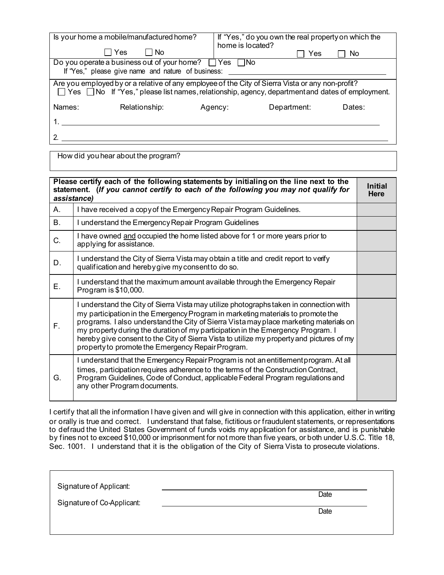|                                                                                                                                                                                                       | Is your home a mobile/manufactured home?<br>Yes<br>No.           | home is located? | If "Yes," do you own the real property on which the |        |
|-------------------------------------------------------------------------------------------------------------------------------------------------------------------------------------------------------|------------------------------------------------------------------|------------------|-----------------------------------------------------|--------|
|                                                                                                                                                                                                       | Do you operate a business out of your home? $\Box$ Yes $\Box$ No |                  | Yes                                                 | No     |
|                                                                                                                                                                                                       | If "Yes," please give name and nature of business:               |                  |                                                     |        |
| Are you employed by or a relative of any employee of the City of Sierra Vista or any non-profit?<br>□ Yes □ No If "Yes," please list names, relationship, agency, department and dates of employment. |                                                                  |                  |                                                     |        |
| Names:                                                                                                                                                                                                | Relationship:                                                    | Agency:          | Department:                                         | Dates: |
|                                                                                                                                                                                                       |                                                                  |                  |                                                     |        |
|                                                                                                                                                                                                       |                                                                  |                  |                                                     |        |

How did you hear about the program?

|    | Please certify each of the following statements by initialing on the line next to the<br>statement. (If you cannot certify to each of the following you may not qualify for<br>assistance)                                                                                                                                                                                                                                                                                                              | <b>Initial</b><br>Here |
|----|---------------------------------------------------------------------------------------------------------------------------------------------------------------------------------------------------------------------------------------------------------------------------------------------------------------------------------------------------------------------------------------------------------------------------------------------------------------------------------------------------------|------------------------|
| А. | I have received a copy of the Emergency Repair Program Guidelines.                                                                                                                                                                                                                                                                                                                                                                                                                                      |                        |
| В. | I understand the Emergency Repair Program Guidelines                                                                                                                                                                                                                                                                                                                                                                                                                                                    |                        |
| C. | I have owned and occupied the home listed above for 1 or more years prior to<br>applying for assistance.                                                                                                                                                                                                                                                                                                                                                                                                |                        |
| D. | I understand the City of Sierra Vista may obtain a title and credit report to verify<br>qualification and hereby give my consent to do so.                                                                                                                                                                                                                                                                                                                                                              |                        |
| Е. | I understand that the maximum amount available through the Emergency Repair<br>Program is \$10,000.                                                                                                                                                                                                                                                                                                                                                                                                     |                        |
| F. | I understand the City of Sierra Vista may utilize photographs taken in connection with<br>my participation in the Emergency Program in marketing materials to promote the<br>programs. I also understand the City of Sierra Vista may place marketing materials on<br>my property during the duration of my participation in the Emergency Program. I<br>hereby give consent to the City of Sierra Vista to utilize my property and pictures of my<br>property to promote the Emergency Repair Program. |                        |
| G. | I understand that the Emergency Repair Program is not an entitlement program. At all<br>times, participation requires adherence to the terms of the Construction Contract,<br>Program Guidelines, Code of Conduct, applicable Federal Program regulations and<br>any other Program documents.                                                                                                                                                                                                           |                        |

I certify that all the information I have given and will give in connection with this application, either in writing or orally is true and correct. I understand that false, fictitious or fraudulent statements, or representations to defraud the United States Government of funds voids my application for assistance, and is punishable by fines not to exceed \$10,000 or imprisonment for not more than five years, or both under U.S.C. Title 18, Sec. 1001. I understand that it is the obligation of the City of Sierra Vista to prosecute violations.

| Signature of Applicant:<br>Signature of Co-Applicant: | Date |  |
|-------------------------------------------------------|------|--|
|                                                       | Date |  |
|                                                       |      |  |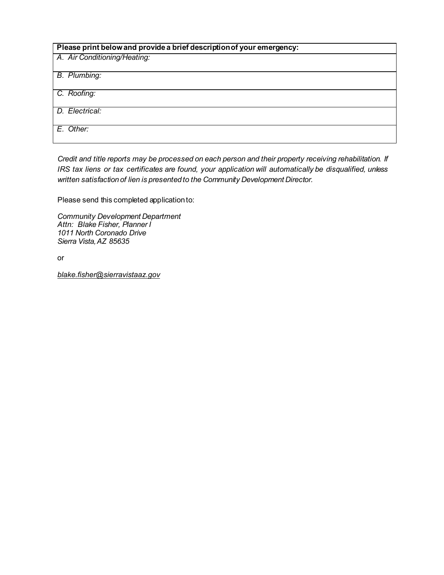| Please print below and provide a brief description of your emergency: |
|-----------------------------------------------------------------------|
| A. Air Conditioning/Heating:                                          |
| B. Plumbing:                                                          |
| C. Roofing:                                                           |
| D. Electrical:                                                        |
| E. Other:                                                             |

*Credit and title reports may be processed on each person and their property receiving rehabilitation. If IRS tax liens or tax certificates are found, your application will automatically be disqualified, unless written satisfaction of lien is presented to the Community Development Director.*

Please send this completed application to:

*Community Development Department Attn: Blake Fisher, Planner I 1011 North Coronado Drive Sierra Vista, AZ 85635*

or

*blake.fisher@sierravistaaz.gov*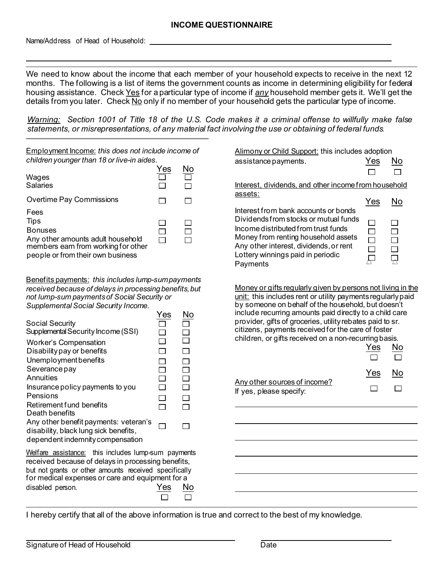Name/Address of Head of Household:

We need to know about the income that each member of your household expects to receive in the next 12 months. The following is a list of items the government counts as income in determining eligibility for federal housing assistance. Check Yes for a particular type of income if *any* household member gets it. We'll get the details from you later. Check No only if no member of your household gets the particular type of income.

*Warning: Section 1001 of Title 18 of the U.S. Code makes it a criminal offense to willfully make false statements, or misrepresentations, of any material fact involving the use or obtaining of federal funds.*

| <b>Employment Income: this does not include income of</b><br>children younger than 18 or live-in aides.                                                                                                                                                                                                                                                                                                                                                                                                                                                                                               | Yes                                                                                   | No                                              | Alimony or Child Support: this includes adoption<br>assistance payments.                                                                                                                                                                                                                                                                                                                                                                                                           | Yes        | Νo               |
|-------------------------------------------------------------------------------------------------------------------------------------------------------------------------------------------------------------------------------------------------------------------------------------------------------------------------------------------------------------------------------------------------------------------------------------------------------------------------------------------------------------------------------------------------------------------------------------------------------|---------------------------------------------------------------------------------------|-------------------------------------------------|------------------------------------------------------------------------------------------------------------------------------------------------------------------------------------------------------------------------------------------------------------------------------------------------------------------------------------------------------------------------------------------------------------------------------------------------------------------------------------|------------|------------------|
| Wages<br><b>Salaries</b>                                                                                                                                                                                                                                                                                                                                                                                                                                                                                                                                                                              |                                                                                       | $\Box$                                          | Interest, dividends, and other income from household                                                                                                                                                                                                                                                                                                                                                                                                                               |            |                  |
| Overtime Pay Commissions                                                                                                                                                                                                                                                                                                                                                                                                                                                                                                                                                                              |                                                                                       | $\Box$                                          | assets:                                                                                                                                                                                                                                                                                                                                                                                                                                                                            | Yes        | No               |
| Fees<br><b>Tips</b><br><b>Bonuses</b><br>Any other amounts adult household<br>members earn from working for other<br>people or from their own business                                                                                                                                                                                                                                                                                                                                                                                                                                                | $\Box$<br>$\Box$                                                                      | $\Box$<br>П<br>П                                | Interest from bank accounts or bonds<br>Dividends from stocks or mutual funds<br>Income distributed from trust funds<br>Money from renting household assets<br>Any other interest, dividends, or rent<br>Lottery winnings paid in periodic<br>Payments                                                                                                                                                                                                                             |            | $\Box$<br>$\Box$ |
| Benefits payments: this includes lump-sum payments<br>received because of delays in processing benefits, but<br>not lump-sum payments of Social Security or<br>Supplemental Social Security Income.<br>Social Security<br>Supplemental Security Income (SSI)<br><b>Worker's Compensation</b><br>Disability pay or benefits<br>Unemployment benefits<br>Severance pay<br>Annuities<br>Insurance policy payments to you<br>Pensions<br>Retirement fund benefits<br>Death benefits<br>Any other benefit payments: veteran's<br>disability, black lung sick benefits,<br>dependent indemnity compensation | Yes<br>$\mathcal{L}$<br>$\Box$<br>$\Box$<br>$\Box$<br>$\Box$<br>$\Box$<br>$\Box$<br>П | No<br>П<br>$\Box$<br>$\Box$<br>$\Box$<br>П<br>П | Money or gifts regularly given by persons not living in the<br>unit: this includes rent or utility payments regularly paid<br>by someone on behalf of the household, but doesn't<br>include recurring amounts paid directly to a child care<br>provider, gifts of groceries, utility rebates paid to sr.<br>citizens, payments received for the care of foster<br>children, or gifts received on a non-recurring basis.<br>Any other sources of income?<br>If yes, please specify: | Yes<br>Yes | No<br>Νo         |
| Welfare assistance: this includes lump-sum payments<br>received because of delays in processing benefits,<br>but not grants or other amounts received specifically<br>for medical expenses or care and equipment for a<br>disabled person.                                                                                                                                                                                                                                                                                                                                                            |                                                                                       | No                                              |                                                                                                                                                                                                                                                                                                                                                                                                                                                                                    |            |                  |

I hereby certify that all of the above information is true and correct to the best of my knowledge.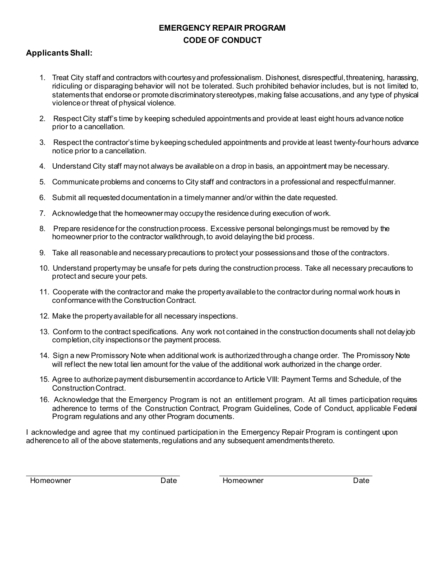### **EMERGENCY REPAIR PROGRAM CODE OF CONDUCT**

### **Applicants Shall:**

- 1. Treat City staff and contractors with courtesy and professionalism. Dishonest, disrespectful, threatening, harassing, ridiculing or disparaging behavior will not be tolerated. Such prohibited behavior includes, but is not limited to, statements that endorse or promote discriminatory stereotypes, making false accusations, and any type of physical violence or threat of physical violence.
- 2. Respect City staff's time by keeping scheduled appointmentsand provide at least eight hours advance notice prior to a cancellation.
- 3. Respect the contractor's time by keeping scheduled appointments and provide at least twenty-four hours advance notice prior to a cancellation.
- 4. Understand City staff may not always be available on a drop in basis, an appointment may be necessary.
- 5. Communicate problems and concerns to City staff and contractors in a professional and respectful manner.
- 6. Submit all requested documentation in a timely manner and/or within the date requested.
- 7. Acknowledge that the homeowner may occupy the residence during execution of work.
- 8. Prepare residence for the construction process. Excessive personal belongings must be removed by the homeowner prior to the contractor walkthrough, to avoid delaying the bid process.
- 9. Take all reasonable and necessary precautions to protect your possessionsand those of the contractors.
- 10. Understand property may be unsafe for pets during the construction process. Take all necessary precautions to protect and secure your pets.
- 11. Cooperate with the contractorand make the property available to the contractor during normal work hours in conformance with the Construction Contract.
- 12. Make the property available for all necessary inspections.
- 13. Conform to the contract specifications. Any work not contained in the construction documents shall not delay job completion, city inspectionsor the payment process.
- 14. Sign a new Promissory Note when additional work is authorized through a change order. The Promissory Note will reflect the new total lien amount for the value of the additional work authorized in the change order.
- 15. Agree to authorize payment disbursement in accordance to Article VIII: Payment Terms and Schedule, of the Construction Contract.
- 16. Acknowledge that the Emergency Program is not an entitlement program. At all times participation requires adherence to terms of the Construction Contract, Program Guidelines, Code of Conduct, applicable Federal Program regulations and any other Program documents.

I acknowledge and agree that my continued participation in the Emergency Repair Program is contingent upon adherence to all of the above statements, regulations and any subsequent amendmentsthereto.

Homeowner Date Homeowner Date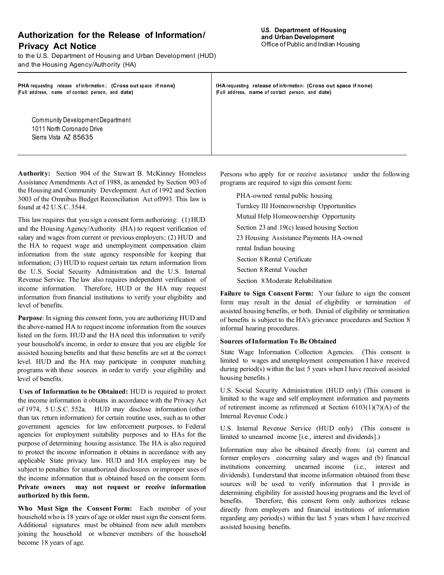### **Authorization for the Release of Information/ Privacy Act Notice**

to the U.S. Department of Housing and Urban Development (HUD) and the Housing Agency/Authority (HA)

**PHA** requesting release of information; (Cross out space if none} **(F u ll address, name o f contact person, and date)**

**IHA requesting release of in fo rmatio n : (Cross out space if none) (F u ll address, name o f contact person, and date)**

Community Development Department 1011 North Coronado Drive Sierra Vista AZ 85635

**Authority:** Section 904 of the Stewart B. McKinney Homeless Assistance Amendments Act of 1988, as amended by Section 903 of the Housing and Community Development Act of 1992 and Section 3003 of the Omnibus Budget Reconciliation Act ofl993. This law is found at 42 U.S.C. 3544.

This law requires that you sign a consent form authorizing: (1) HUD and the Housing Agency/Authority (HA) to request verification of salary and wages from current or previous employers; (2) HUD and the HA to request wage and unemployment compensation claim information from the state agency responsible for keeping that information; (3) HUD to request certain tax return information from the U.S. Social Security Administration and the U.S. Internal Revenue Service. The law also requires independent verification of income information. Therefore, HUD or the HA may request information from financial institutions to verify your eligibility and level of benefits.

**Purpose**: In signing this consent form, you are authorizing HUD and the above-named HA to request income information from the sources listed on the form. HUD and the HA need this information to verify your household's income, in order to ensure that you are eligible for assisted housing benefits and that these benefits are set at the correct level. HUD and the HA may participate in computer matching programs with these sources in order to verify your eligibility and level of benefits.

**Uses of Information to be Obtained:** HUD is required to protect the income information it obtains in accordance with the Privacy Act of 1974, 5 U.S.C. 552a. HUD may disclose information (other than tax return information) for certain routine uses, such as to other government agencies for law enforcement purposes, to Federal agencies for employment suitability purposes and to HAs for the purpose of determining housing assistance. The HA is also required to protect the income information it obtains in accordance with any applicable State privacy law. HUD and HA employees may be subject to penalties for unauthorized disclosures or improper uses of the income information that is obtained based on the consent form. **Private owners may not request or receive information authorized by this form.**

**Who Must Sign the Consent Form:** Each member of your household who is 18 years of age or older must sign the consent form. Additional signatures must be obtained from new adult members joining the household or whenever members of the household become 18 years of age.

Persons who apply for or receive assistance under the following programs are required to sign this consent form:

PHA-owned rental public housing Turnkey III Homeownership Opportunities Mutual Help Homeownership Opportunity Section 23 and 19(c) leased housing Section 23 Housing Assistance Payments HA-owned rental Indian housing Section 8 Rental Certificate Section 8 Rental Voucher Section 8 Moderate Rehabilitation

**Failure to Sign Consent Form:** Your failure to sign the consent form may result in the denial of eligibility or termination of assisted housing benefits, or both. Denial of eligibility or termination of benefits is subject to the HA's grievance procedures and Section 8 informal hearing procedures.

#### **Sources of Information To Be Obtained**

State Wage Information Collection Agencies. (This consent is limited to wages and unemployment compensation I have received during period(s) within the last 5 years when I have received assisted housing benefits.)

U.S. Social Security Administration (HUD only) (This consent is limited to the wage and self employment information and payments of retirement income as referenced at Section  $6103(1)(7)(A)$  of the Internal Revenue Code.)

U.S. Internal Revenue Service (HUD only) (This consent is limited to unearned income [i.e., interest and dividends].)

Information may also be obtained directly from: (a) current and former employers concerning salary and wages and (b) financial institutions concerning unearned income (i.e., interest and dividends). I understand that income information obtained from these sources will be used to verify information that I provide in determining eligibility for assisted housing programs and the level of benefits. Therefore, this consent form only authorizes release directly from employers and financial institutions of information regarding any period(s) within the last 5 years when I have received assisted housing benefits.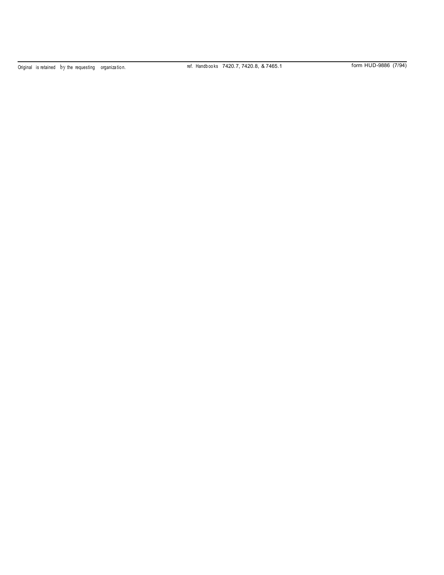Original is retained by the requesting organization. The ref. Handbooks 7420.7, 7420.8, & 7465.1 form HUD-9886 (7/94)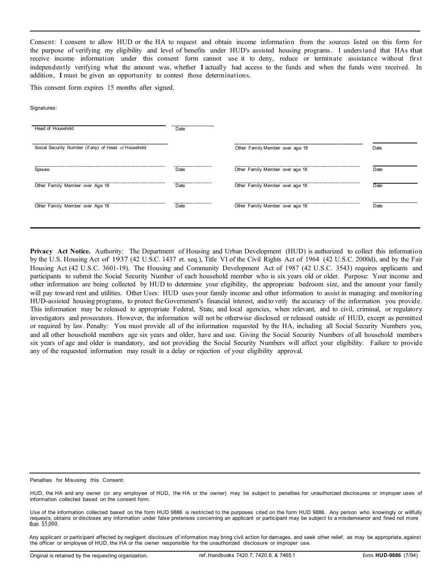Consent: I consent to allow HUD or the HA to request and obtain income information from the sources listed on this form for the purpose of verifying my eligibility and level of benefits under HUD's assisted housing programs. I understand that HAs that receive income information under this consent form cannot use it to deny, reduce or terminate assistance without first independently verifying what the amount was, whether I actually had access to the funds and when the funds were received. In addition, I must be given an opportunity to contest those determinations.

This consent form expires 15 months after signed.

Signatures:

| Other Family Member over age 18 | Date |
|---------------------------------|------|
| Other Family Member over age 18 | Date |
| Other Family Member over age 18 | Date |
| Other Family Member over age 18 | Date |
| Date<br>Date<br>Date            |      |

**Privacy Act Notice.** Authority: The Department of Housing and Urban Development (HUD) is authorized to collect this information by the U.S. Housing Act of 1937 (42 U.S.C. 1437 et. seq.), Title VI of the Civil Rights Act of 1964 (42 U.S.C. 2000d), and by the Fair Housing Act (42 U.S.C. 3601-19). The Housing and Community Development Act of 1987 (42 U.S.C. 3543) requires applicants and participants to submit the Social Security Number of each household member who is six years old or older. Purpose: Your income and other information are being collected by HUD to determine your eligibility, the appropriate bedroom size, and the amount your family will pay toward rent and utilities. Other Uses: HUD uses your family income and other information to assist in managing and monitoring HUD-assisted housing programs, to protect the Government's financial interest, and to verify the accuracy of the information you provide. This information may be released to appropriate Federal, State, and local agencies, when relevant, and to civil, criminal, or regulatory investigators and prosecutors. However, the information will not be otherwise disclosed or released outside of HUD, except as permitted or required by law. Penalty: You must provide all of the information requested by the HA, including all Social Security Numbers you, and all other household members age six years and older, have and use. Giving the Social Security Numbers of all household members six years of age and older is mandatory, and not providing the Social Security Numbers will affect your eligibility. Failure to provide any of the requested information may result in a delay or rejection of your eligibility approval.

Penalties for Misusing this Consent:

Any applicant or participant affected by negligent disclosure of information may bring civil action for damages, and seek other relief, as may be appropriate, against the officer or employee of HUD, the HA or the owner responsible for the unauthorized disclosure or improper use.

HUD, the HA and any owner (or any employee of HUD, the HA or the owner) may be subject to penalties for unauthorized disclosures or improper uses of information collected based on the consent form.

Use of the information collected based on the form HUD 9886 is restricted to the purposes cited on the form HUD 9886. Any person who knowingly or willfully requests, obtains or discloses any information under false pretenses concerning an applicant or participant may be subject to a misdemeanor and fined not more than \$5,000.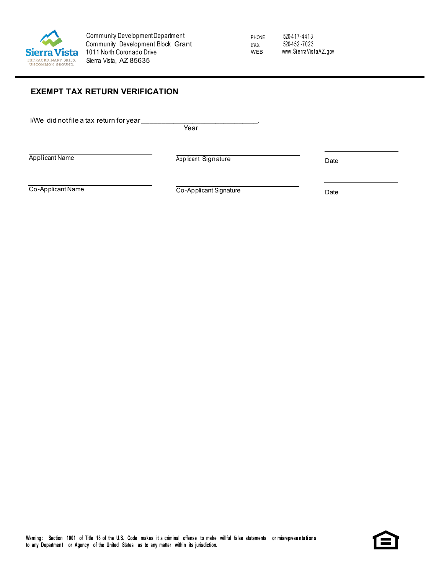

PHONE FAX WEB

520-417-4413 520-452 -7023 [www.Si erraVis taA Z.gov](http://www.scottsdaleaz.gov/)

### **EXEMPT TAX RETURN VERIFICATION**

I/We did not file a tax return for year

**Year** 

Applicant Name Date **Date Applicant Signature** Applicant Signature Date

Co-Applicant Name Date Co-Applicant Signature Date